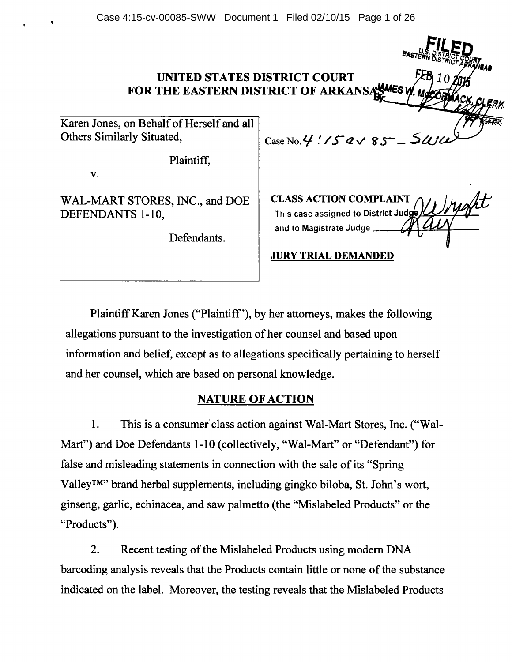Case 4:15-cv-00085-SWW Document 1 Filed 02/10/15 Page 1 of 26

# UNITED STATES DISTRICT COURT FOR THE EASTERN DISTRICT OF ARKANSASMES

Karen Jones, on Behalf of Herself and all Others Similarly Situated,  $\Big| \text{Case No. } 4'.75' \text{eV } 85^-$ 

Plaintiff,

v.

 $\ddot{\phantom{0}}$ 

WAL-MART STORES, INC., and DOE DEFENDANTS 1-10,

Defendants.

CLASS ACTION COMPLAINT This case assigned to District Judge and to Magistrate Judge \_

 $\sim$ 

JURY TRIAL DEMANDED

Plaintiff Karen Jones ("Plaintiff'), by her attorneys, makes the following allegations pursuant to the investigation of her counsel and based upon information and belief, except as to allegations specifically pertaining to herself and her counsel, which are based on personal knowledge.

# NATURE OF ACTION

1. This is a consumer' class action against Wal-Mart Stores, Inc. ("Wal-Mart") and Doe Defendants 1-10 (collectively, "Wal-Mart" or "Defendant") for false and misleading statements in connection with the sale of its "Spring Valley™" brand herbal supplements, including gingko biloba, St. John's wort, ginseng, garlic, echinacea, and saw palmetto (the "Mislabeled Products" or the "Products").

2. Recent testing of the Mislabeled Products using modem DNA barcoding analysis reveals that the Products contain little or none of the substance indicated on the label. Moreover, the testing reveals that the Mislabeled Products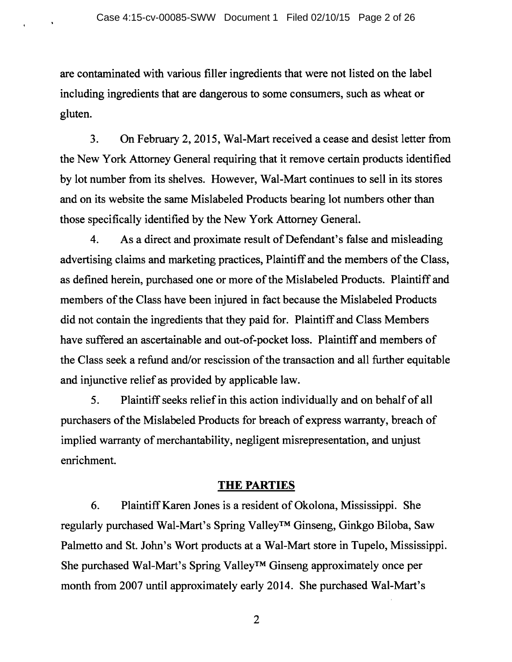are contaminated with various filler ingredients that were not listed on the label including ingredients that are dangerous to some consumers, such as wheat or gluten.

3. On February 2, 2015, Wal-Mart received a cease and desist letter from the New York Attorney General requiring that it remove certain products identified by lot number from its shelves. However, Wal-Mart continues to sell in its stores and on its website the same Mislabeled Products bearing lot numbers other than those specifically identified by the New York Attorney General.

4. As a direct and proximate result of Defendant's false and misleading advertising claims and marketing practices, Plaintiff and the members of the Class, as defined herein, purchased one or more of the Mislabeled Products. Plaintiff and members of the Class have been injured in fact because the Mislabeled Products did not contain the ingredients that they paid for. Plaintiff and Class Members have suffered an ascertainable and out-of-pocket loss. Plaintiff and members of the Class seek a refund and/or rescission of the transaction and all further equitable and injunctive relief as provided by applicable law.

5. Plaintiff seeks relief in this action individually and on behalf of all purchasers of the Mislabeled Products for breach of express warranty, breach of implied warranty of merchantability, negligent misrepresentation, and unjust enrichment.

# **THE PARTIES**

6. Plaintiff Karen Jones is a resident of Okolona, Mississippi. She regularly purchased Wal-Mart's Spring Valley™ Ginseng, Ginkgo Biloba, Saw Palmetto and St. John's Wort products at a Wal-Mart store in Tupelo, Mississippi. She purchased Wal-Mart's Spring Valley™ Ginseng approximately once per month from 2007 until approximately early 2014. She purchased Wal-Mart's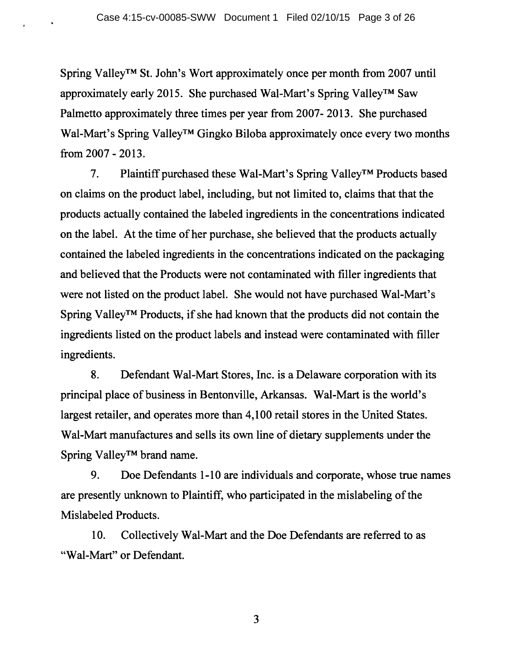Spring Valley™ St. John's Wort approximately once per month from 2007 until approximately early 2015. She purchased Wal-Mart's Spring Valley™ Saw Palmetto approximately three times per year from 2007- 2013. She purchased Wal-Mart's Spring Valley<sup>™</sup> Gingko Biloba approximately once every two months from 2007 - 2013.

7. Plaintiff purchased these Wal-Mart's Spring Valley™ Products based on claims on the product label, including, but not limited to, claims that that the products actually contained the labeled ingredients in the concentrations indicated on the label. At the time of her purchase, she believed that the products actually contained the labeled ingredients in the concentrations indicated on the packaging and believed that the Products were not contaminated with filler ingredients that were not listed on the product label. She would not have purchased Wal-Mart's Spring Valley™ Products, if she had known that the products did not contain the ingredients listed on the product labels and instead were contaminated with filler ingredients.

8. Defendant Wal-Mart Stores, Inc. is a Delaware corporation with its principal place of business in Bentonville, Arkansas. Wal-Mart is the world's largest retailer, and operates more than 4,100 retail stores in the United States. Wal-Mart manufactures and sells its own line of dietary supplements under the Spring Valley™ brand name.

9. Doe Defendants 1-10 are individuals and corporate, whose true names are presently unknown to Plaintiff, who participated in the mislabeling of the Mislabeled Products.

10. Collectively Wal-Mart and the Doe Defendants are referred to as "Wal-Mart" or Defendant.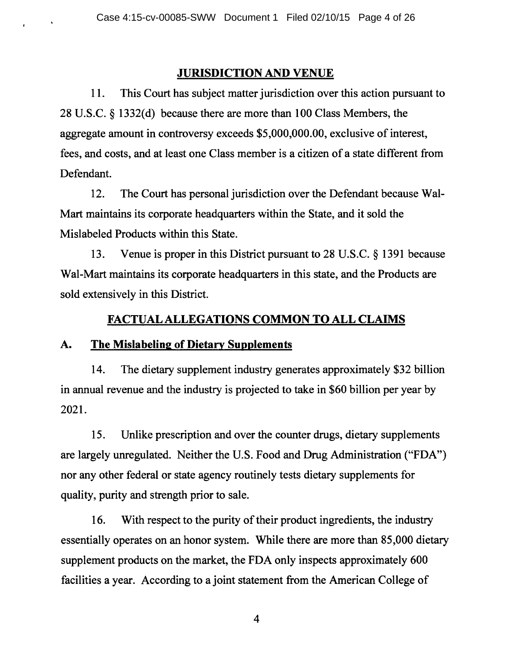## JURISDICTION AND VENUE

11. This Court has subject matter jurisdiction over this action pursuant to 28 U.S.C. § 1332(d) because there are more than 100 Class Members, the aggregate amount in controversy exceeds \$5,000,000.00, exclusive of interest, fees, and costs, and at least one Class member is a citizen of a state different from Defendant.

12. The Court has personal jurisdiction over the Defendant because Wal-Mart maintains its corporate headquarters within the State, and it sold the Mislabeled Products within this State.

13. Venue is proper in this District pursuant to 28 U.S.C. § 1391 because Wal-Mart maintains its corporate headquarters in this state, and the Products are sold extensively in this District.

## FACTUAL ALLEGATIONS COMMON TO ALL CLAIMS

## A. The Mislabeling of Dietary Supplements

 $\bullet$ 

14. The dietary supplement industry generates approximately \$32 billion in annual revenue and the industry is projected to take in \$60 billion per year by 2021.

15. Unlike prescription and over the counter drugs, dietary supplements are largely unregulated. Neither the U.S. Food and Drug Administration ("FDA") nor any other federal or state agency routinely tests dietary supplements for quality, purity and strength prior to sale.

16. With respect to the purity of their product ingredients, the industry essentially operates on an honor system. While there are more than 85,000 dietary supplement products on the market, the FDA only inspects approximately 600 facilities a year. According to a joint statement from the American College of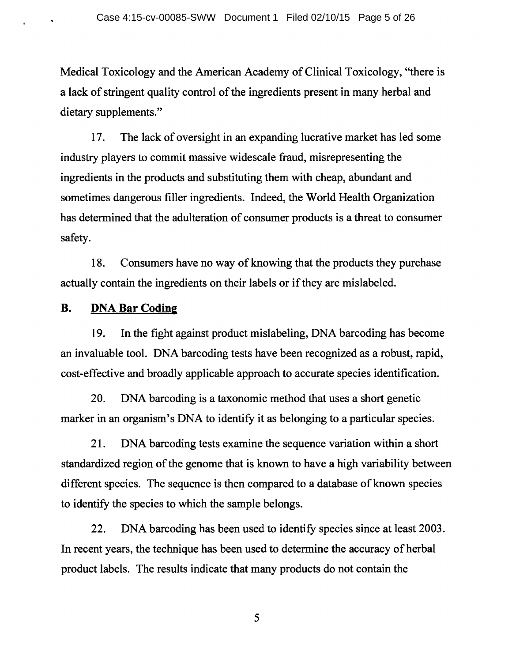Medical Toxicology and the American Academy of Clinical Toxicology, "there is a lack of stringent quality control of the ingredients present in many herbal and dietary supplements."

17. The lack of oversight in an expanding lucrative market has led some industry players to commit massive widescale fraud, misrepresenting the ingredients in the products and substituting them with cheap, abundant and sometimes dangerous filler ingredients. Indeed, the World Health Organization has determined that the adulteration of consumer products is a threat to consumer safety.

18. Consumers have no way of knowing that the products they purchase actually contain the ingredients on their labels or if they are mislabeled.

## **B. DNA Bar Coding**

19. In the fight against product mislabeling, DNA barcoding has become an invaluable tool. DNA barcoding tests have been recognized as a robust, rapid, cost-effective and broadly applicable approach to accurate species identification.

20. DNA barcoding is a taxonomic method that uses a short genetic marker in an organism's DNA to identify it as belonging to a particular species.

21. DNA barcoding tests examine the sequence variation within a short standardized region of the genome that is known to have a high variability between different species. The sequence is then compared to a database of known species to identify the species to which the sample belongs.

22. DNA barcoding has been used to identify species since at least 2003. In recent years, the technique has been used to determine the accuracy of herbal product labels. The results indicate that many products do not contain the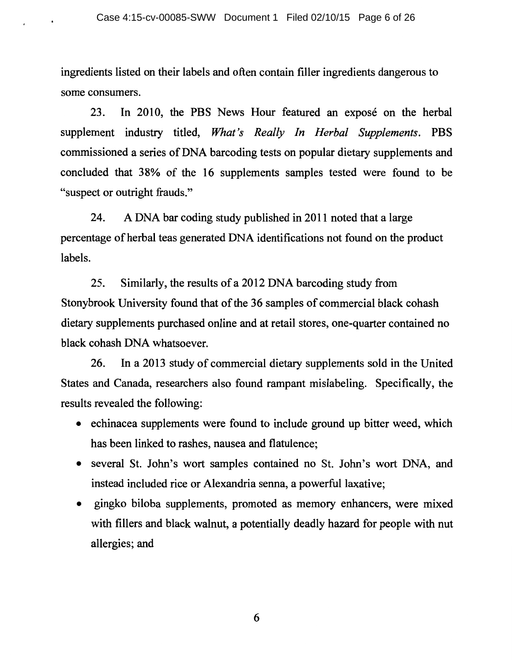ingredients listed on their labels and often contain filler ingredients dangerous to some consumers.

23. In 2010, the PBS News Hour featured an expose on the herbal supplement industry titled, *What's Really In Herbal Supplements.* PBS commissioned a series of DNA barcoding tests on popular dietary supplements and concluded that 38% of the 16 supplements samples tested were found to be "suspect or outright frauds."

24. A DNA bar coding study published in 2011 noted that a large percentage of herbal teas generated DNA identifications not found on the product labels.

25. Similarly, the results of a 2012 DNA barcoding study from Stonybrook University found that of the 36 samples of commercial black cohash dietary supplements purchased online and at retail stores, one-quarter contained no black cohash DNA whatsoever.

26. In a 2013 study of commercial dietary supplements sold in the United States and Canada, researchers also found rampant mislabeling. Specifically, the results revealed the following:

- echinacea supplements were found to include ground up bitter weed, which has been linked to rashes, nausea and flatulence;
- several St. John's wort samples contained no St. John's wort DNA, and instead included rice or Alexandria senna, a powerful laxative;
- gingko biloba supplements, promoted as memory enhancers, were mixed with fillers and black walnut, a potentially deadly hazard for people with nut allergies; and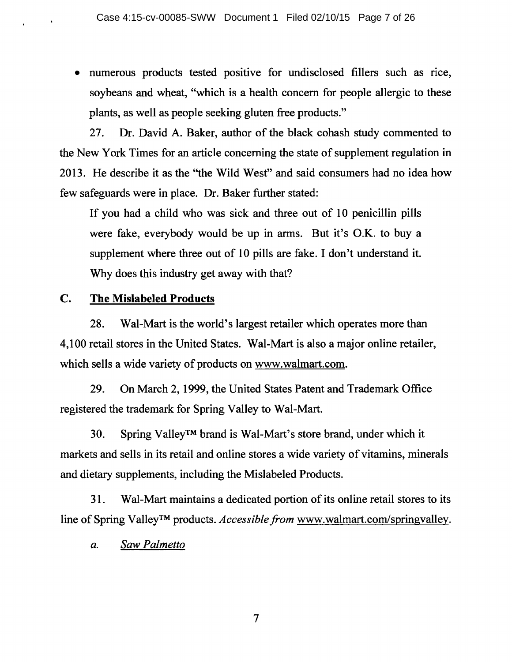• numerous products tested positive for undisclosed fillers such as rice, soybeans and wheat, "which is a health concern for people allergic to these plants, as well as people seeking gluten free products."

27. Dr. David A. Baker, author of the black cohash study commented to the New York Times for an article concerning the state of supplement regulation in 2013. He describe it as the "the Wild West" and said consumers had no idea how few safeguards were in place. Dr. Baker further stated:

If you had a child who was sick and three out of 10 penicillin pills were fake, everybody would be up in arms. But it's O.K. to buy a supplement where three out of 10 pills are fake. I don't understand it. Why does this industry get away with that?

# **C. The Mislabeled Products**

28. Wal-Mart is the world's largest retailer which operates more than 4,100 retail stores in the United States. Wal-Mart is also a major online retailer, which sells a wide variety of products on www.walmart.com.

29. On March 2, 1999, the United States Patent and Trademark Office registered the trademark for Spring Valley to Wal-Mart.

30. Spring Valley™ brand is Wal-Mart's store brand, under which it markets and sells in its retail and online stores a wide variety of vitamins, minerals and dietary supplements, including the Mislabeled Products.

31. Wal-Mart maintains a dedicated portion of its online retail stores to its line of Spring Valley™ products. *Accessible from* www.walmart.com/springvalley.

*a. Saw Palmetto*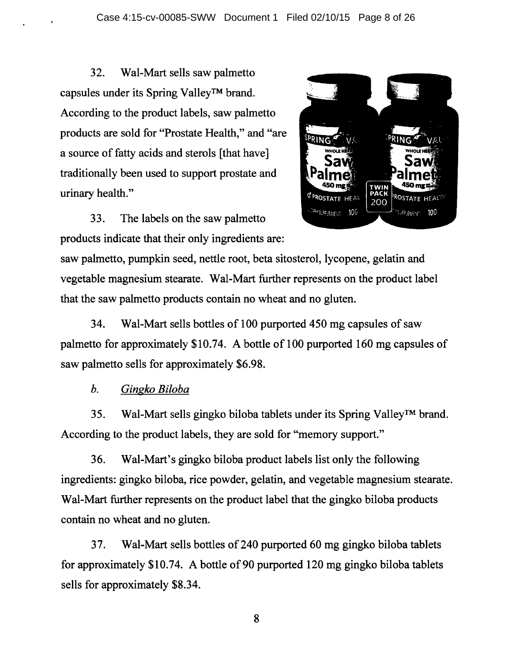32. Wal-Mart sells saw palmetto capsules under its Spring Valley™ brand. According to the product labels, saw palmetto products are sold for "Prostate Health," and "are a source of fatty acids and sterols [that have] traditionally been used to support prostate and urinary health."

33. The labels on the saw palmetto products indicate that their only ingredients are:



saw palmetto, pumpkin seed, nettle root, beta sitosterol, lycopene, gelatin and vegetable magnesium stearate. Wal-Mart further represents on the product label that the saw palmetto products contain no wheat and no gluten.

34. Wal-Mart sells bottles of 100 purported 450 mg capsules of saw palmetto for approximately \$10.74. A bottle of 100 purported 160 mg capsules of saw palmetto sells for approximately \$6.98.

*b. Gingko Biloba* 

35. Wal-Mart sells gingko biloba tablets under its Spring Valley™ brand. According to the product labels, they are sold for "memory support."

36. Wal-Mart's gingko biloba product labels list only the following ingredients: gingko biloba, rice powder, gelatin, and vegetable magnesium stearate. Wal-Mart further represents on the product label that the gingko biloba products contain no wheat and no gluten.

37. Wal-Mart sells bottles of 240 purported 60 mg gingko biloba tablets for approximately \$10.74. A bottle of 90 purported 120 mg gingko biloba tablets sells for approximately \$8.34.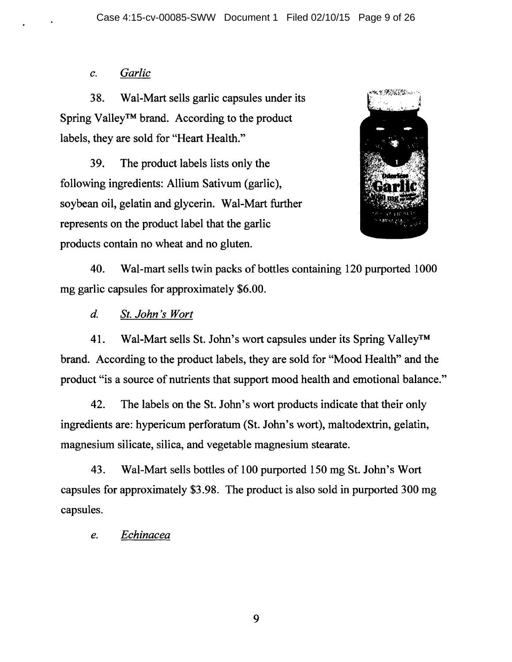## *c. Garlic*

38. Wal-Mart sells garlic capsules under its Spring Valley™ brand. According to the product labels, they are sold for "Heart Health."

39. The product labels lists only the following ingredients: Allium Sativum (garlic), soybean oil, gelatin and glycerin. Wal-Mart further represents on the product label that the garlic products contain no wheat and no gluten.



40. Wal-mart sells twin packs of bottles containing 120 purported 1000 mg garlic capsules for approximately \$6.00.

*d. St. John's Wort* 

41. Wal-Mart sells St. John's wort capsules under its Spring Valley™ brand. According to the product labels, they are sold for "Mood Health" and the product "is a source of nutrients that support mood health and emotional balance."

42. The labels on the St. John's wort products indicate that their only ingredients are: hypericum perforatum (St. John's wort), maltodextrin, gelatin, magnesium silicate, silica, and vegetable magnesium stearate.

43. Wal-Mart sells bottles of 100 purported 150 mg St. John's Wort capsules for approximately \$3.98. The product is also sold in purported 300 mg capsules.

*e. Echinacea*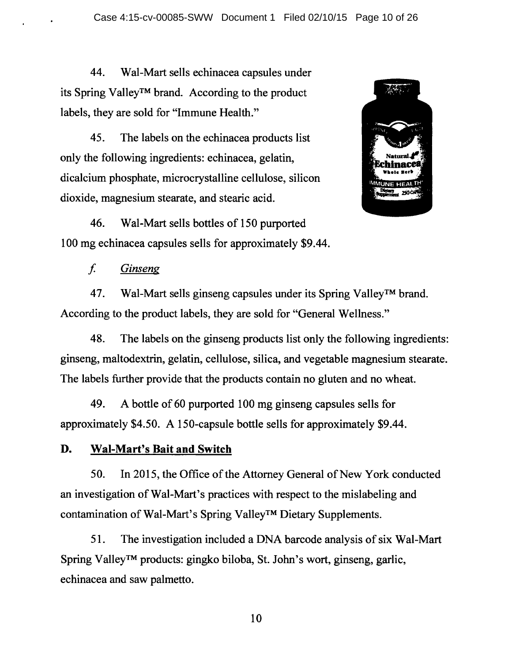44. Wal-Mart sells echinacea capsules under its Spring Valley™ brand. According to the product labels, they are sold for "Immune Health."

45. The labels on the echinacea products list only the following ingredients: echinacea, gelatin, dicalcium phosphate, microcrystalline cellulose, silicon dioxide, magnesium stearate, and stearic acid.

46. Wal-Mart sells bottles of 150 purported 100 mg echinacea capsules sells for approximately \$9.44.



f *Ginseng* 

47. Wal-Mart sells ginseng capsules under its Spring Valley™ brand. According to the product labels, they are sold for "General Wellness."

48. The labels on the ginseng products list only the following ingredients: ginseng, maltodextrin, gelatin, cellulose, silica, and vegetable magnesium stearate. The labels further provide that the products contain no gluten and no wheat.

49. A bottle of 60 purported 100 mg ginseng capsules sells for approximately \$4.50. A 150-capsule bottle sells for approximately \$9.44.

## **D. Wal-Mart's Bait and Switch**

50. In 2015, the Office of the Attorney General of New York conducted an investigation of Wal-Mart's practices with respect to the mislabeling and contamination of Wal-Mart's Spring Valley™ Dietary Supplements.

51. The investigation included a DNA barcode analysis of six Wal-Mart Spring Valley™ products: gingko biloba, St. John's wort, ginseng, garlic, echinacea and saw palmetto.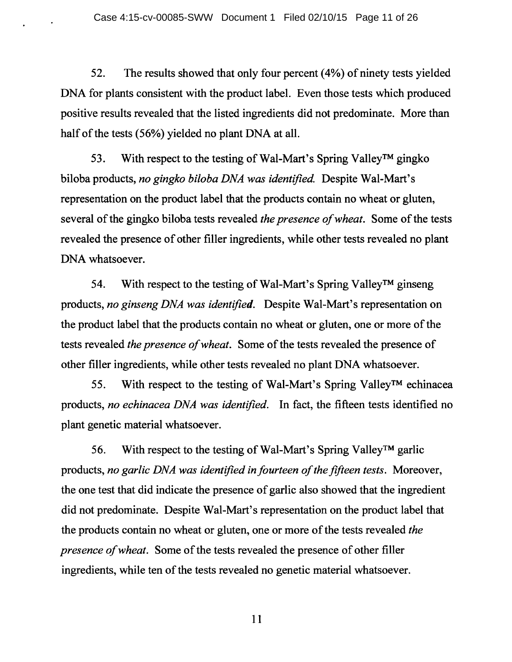52. The results showed that only four percent (4%) of ninety tests yielded DNA for plants consistent with the product label. Even those tests which produced positive results revealed that the listed ingredients did not predominate. More than half of the tests (56%) yielded no plant DNA at all.

53. With respect to the testing of Wal-Mart's Spring Valley™ gingko biloba products, *no gingko biloba DNA was identified.* Despite Wal-Mart's representation on the product label that the products contain no wheat or gluten, several of the gingko biloba tests revealed *the presence of wheat.* Some of the tests revealed the presence of other filler ingredients, while other tests revealed no plant DNA whatsoever.

54. With respect to the testing of Wal-Mart's Spring Valley™ ginseng products, *no ginseng DNA was identified.* Despite Wal-Mart's representation on the product label that the products contain no wheat or gluten, one or more of the tests revealed *the presence of wheat.* Some of the tests revealed the presence of other filler ingredients, while other tests revealed no plant DNA whatsoever.

55. With respect to the testing of Wal-Mart's Spring Valley™ echinacea products, *no echinacea DNA was identified.* In fact, the fifteen tests identified no plant genetic material whatsoever.

56. With respect to the testing of Wal-Mart's Spring Valley™ garlic products, *no garlic DNA was identified in fourteen of the fifteen tests.* Moreover, the one test that did indicate the presence of garlic also showed that the ingredient did not predominate. Despite Wal-Mart's representation on the product label that the products contain no wheat or gluten, one or more of the tests revealed *the presence of wheat.* Some of the tests revealed the presence of other filler ingredients, while ten of the tests revealed no genetic material whatsoever.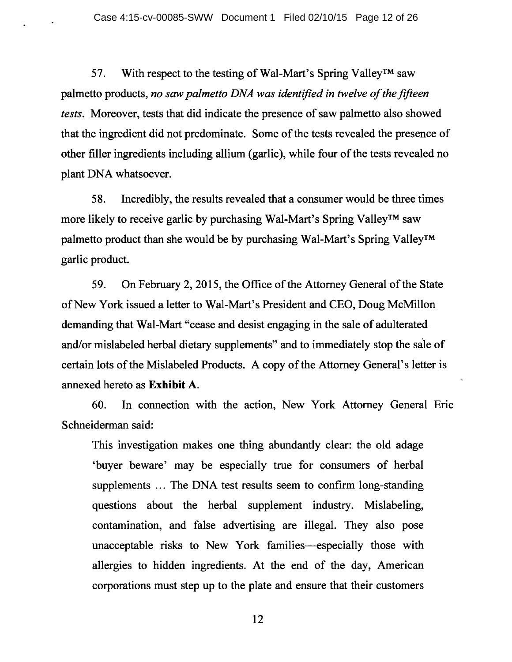57. With respect to the testing of Wal-Mart's Spring Valley™ saw palmetto products, *no saw palmetto DNA was identified in twelve of the fifteen tests.* Moreover, tests that did indicate the presence of saw palmetto also showed that the ingredient did not predominate. Some of the tests revealed the presence of other filler ingredients including allium (garlic), while four of the tests revealed no plant DNA whatsoever.

58. Incredibly, the results revealed that a consumer would be three times more likely to receive garlic by purchasing Wal-Mart's Spring Valley™ saw palmetto product than she would be by purchasing Wal-Mart's Spring Valley™ garlic product.

59. On February 2, 2015, the Office of the Attorney General of the State of New York issued a letter to Wal-Mart's President and CEO, Doug McMillon demanding that Wal-Mart "cease and desist engaging in the sale of adulterated and/or mislabeled herbal dietary supplements" and to immediately stop the sale of certain lots of the Mislabeled Products. A copy of the Attorney General's letter is annexed hereto as **Exhibit** A.

60. In connection with the action, New York Attorney General Eric Schneiderman said:

This investigation makes one thing abundantly clear: the old adage 'buyer beware' may be especially true for consumers of herbal supplements ... The DNA test results seem to confirm long-standing questions about the herbal supplement industry. Mislabeling, contamination, and false advertising are illegal. They also pose unacceptable risks to New York families-especially those with allergies to hidden ingredients. At the end of the day, American corporations must step up to the plate and ensure that their customers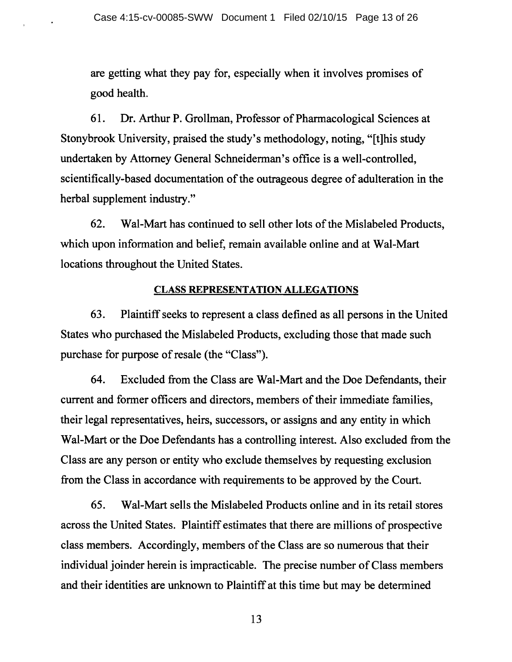are getting what they pay for, especially when it involves promises of good health.

61. Dr. Arthur P. Grollman, Professor of Pharmacological Sciences at Stonybrook University, praised the study's methodology, noting, "[t]his study undertaken by Attorney General Schneiderman's office is a well-controlled, scientifically-based documentation of the outrageous degree of adulteration in the herbal supplement industry."

62. Wal-Mart has continued to sell other lots of the Mislabeled Products, which upon information and belief, remain available online and at Wal-Mart locations throughout the United States.

#### CLASS REPRESENTATION ALLEGATIONS

63. Plaintiff seeks to represent a class defined as all persons in the United States who purchased the Mislabeled Products, excluding those that made such purchase for purpose of resale (the "Class").

64. Excluded from the Class are Wal-Mart and the Doe Defendants, their current and former officers and directors, members of their immediate families, their legal representatives, heirs, successors, or assigns and any entity in which Wal-Mart or the Doe Defendants has a controlling interest. Also excluded from the Class are any person or entity who exclude themselves by requesting exclusion from the Class in accordance with requirements to be approved by the Court.

65. Wal-Mart sells the Mislabeled Products online and in its retail stores across the United States. Plaintiff estimates that there are millions of prospective class members. Accordingly, members of the Class are so numerous that their individual joinder herein is impracticable. The precise number of Class members and their identities are unknown to Plaintiff at this time but may be determined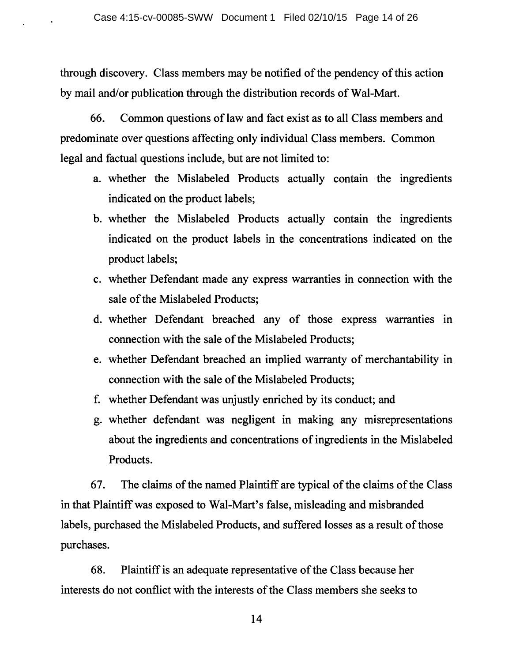through discovery. Class members may be notified of the pendency of this action by mail and/or publication through the distribution records of Wal-Mart.

66. Common questions of law and fact exist as to all Class members and predominate over questions affecting only individual Class members. Common legal and factual questions include, but are not limited to:

- a. whether the Mislabeled Products actually contain the ingredients indicated on the product labels;
- b. whether the Mislabeled Products actually contain the ingredients indicated on the product labels in the concentrations indicated on the product labels;
- c. whether Defendant made any express warranties in connection with the sale of the Mislabeled Products;
- d. whether Defendant breached any of those express warranties in connection with the sale of the Mislabeled Products;
- e. whether Defendant breached an implied warranty of merchantability in connection with the sale of the Mislabeled Products;
- f. whether Defendant was unjustly enriched by its conduct; and
- g. whether defendant was negligent in making any misrepresentations about the ingredients and concentrations of ingredients in the Mislabeled Products.

67. The claims of the named Plaintiff are typical of the claims of the Class in that Plaintiff was exposed to Wal-Mart's false, misleading and misbranded labels, purchased the Mislabeled Products, and suffered losses as a result of those purchases.

68. Plaintiff is an adequate representative of the Class because her interests do not conflict with the interests of the Class members she seeks to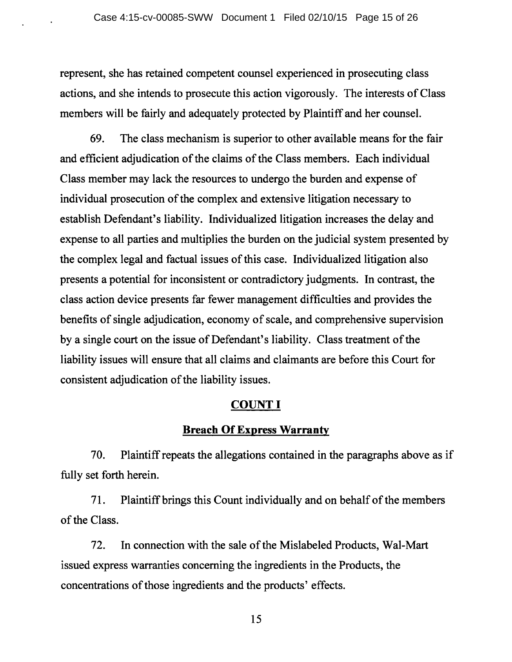represent, she has retained competent counsel experienced in prosecuting class actions, and she intends to prosecute this action vigorously. The interests of Class members will be fairly and adequately protected by Plaintiff and her counsel.

69. The class mechanism is superior to other available means for the fair and efficient adjudication of the claims of the Class members. Each individual Class member may lack the resources to undergo the burden and expense of individual prosecution of the complex and extensive litigation necessary to establish Defendant's liability. Individualized litigation increases the delay and expense to all parties and multiplies the burden on the judicial system presented by the complex legal and factual issues of this case. Individualized litigation also presents a potential for inconsistent or contradictory judgments. In contrast, the class action device presents far fewer management difficulties and provides the benefits of single adjudication, economy of scale, and comprehensive supervision by a single court on the issue of Defendant's liability. Class treatment of the liability issues will ensure that all claims and claimants are before this Court for consistent adjudication of the liability issues.

## **COUNT I**

## **Breach Of Express Warranty**

70. Plaintiff repeats the allegations contained in the paragraphs above as if fully set forth herein.

71. Plaintiff brings this Count individually and on behalf of the members of the Class.

72. In connection with the sale of the Mislabeled Products, Wal-Mart issued express warranties concerning the ingredients in the Products, the concentrations of those ingredients and the products' effects.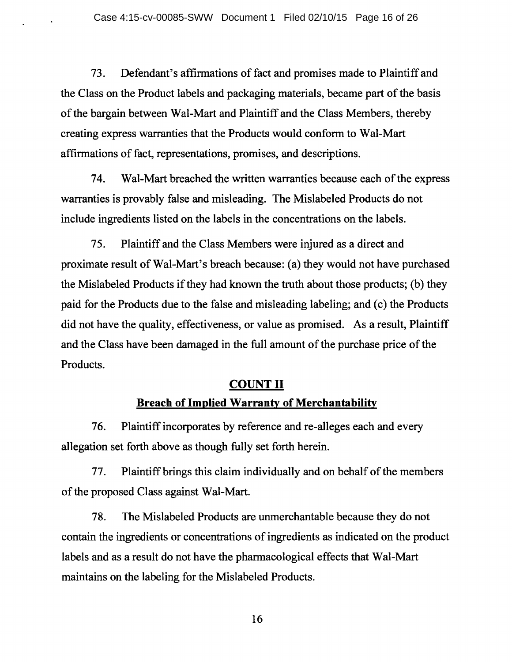73. Defendant's affirmations of fact and promises made to Plaintiff and the Class on the Product labels and packaging materials, became part of the basis of the bargain between Wal-Mart and Plaintiff and the Class Members, thereby creating express warranties that the Products would conform to Wal-Mart affirmations of fact, representations, promises, and descriptions.

74. Wal-Mart breached the written warranties because each of the express warranties is provably false and misleading. The Mislabeled Products do not include ingredients listed on the labels in the concentrations on the labels.

7 5. Plaintiff and the Class Members were injured as a direct and proximate result of Wal-Mart's breach because: (a) they would not have purchased the Mislabeled Products if they had known the truth about those products; (b) they paid for the Products due to the false and misleading labeling; and ( c) the Products did not have the quality, effectiveness, or value as promised. As a result, Plaintiff and the Class have been damaged in the full amount of the purchase price of the Products.

# **COUNT II Breach of Implied Warranty of Merchantability**

76. Plaintiff incorporates by reference and re-alleges each and every allegation set forth above as though fully set forth herein.

77. Plaintiff brings this claim individually and on behalf of the members of the proposed Class against Wal-Mart.

78. The Mislabeled Products are unmerchantable because they do not contain the ingredients or concentrations of ingredients as indicated on the product labels and as a result do not have the pharmacological effects that Wal-Mart maintains on the labeling for the Mislabeled Products.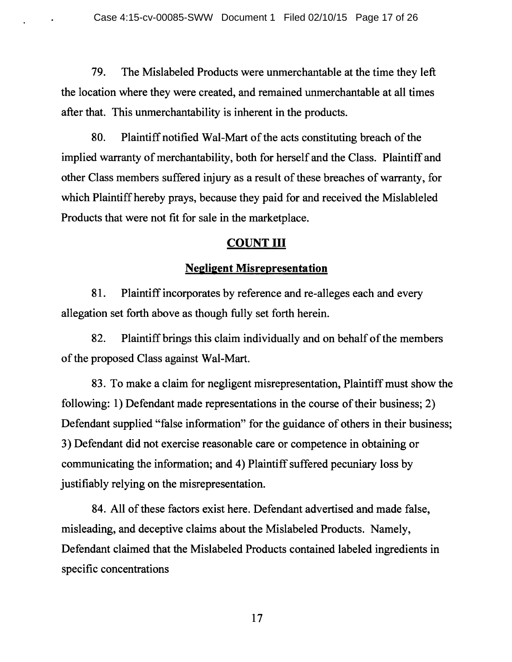79. The Mislabeled Products were unmerchantable at the time they left the location where they were created, and remained unmerchantable at all times after that. This unmerchantability is inherent in the products.

80. Plaintiff notified Wal-Mart of the acts constituting breach of the implied warranty of merchantability, both for herself and the Class. Plaintiff and other Class members suffered injury as a result of these breaches of warranty, for which Plaintiff hereby prays, because they paid for and received the Mislableled Products that were not fit for sale in the marketplace.

## **COUNT** III

## **Negligent Misrepresentation**

81. Plaintiff incorporates by reference and re-alleges each and every allegation set forth above as though fully set forth herein.

82. Plaintiff brings this claim individually and on behalf of the members of the proposed Class against Wal-Mart.

83. To make a claim for negligent misrepresentation, Plaintiff must show the following: 1) Defendant made representations in the course of their business; 2) Defendant supplied "false information" for the guidance of others in their business; 3) Defendant did not exercise reasonable care or competence in obtaining or communicating the information; and 4) Plaintiff suffered pecuniary loss by justifiably relying on the misrepresentation.

84. All of these factors exist here. Defendant advertised and made false, misleading, and deceptive claims about the Mislabeled Products. Namely, Defendant claimed that the Mislabeled Products contained labeled ingredients in specific concentrations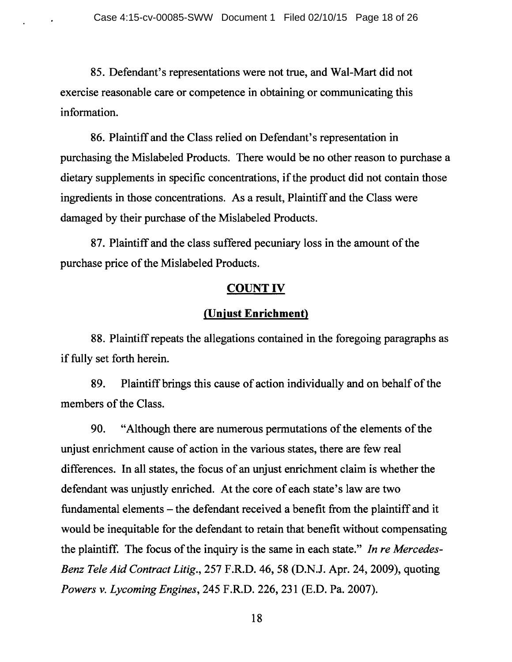85. Defendant's representations were not true, and Wal-Mart did not exercise reasonable care or competence in obtaining or communicating this information.

86. Plaintiff and the Class relied on Defendant's representation in purchasing the Mislabeled Products. There would be no other reason to purchase a dietary supplements in specific concentrations, if the product did not contain those ingredients in those concentrations. As a result, Plaintiff and the Class were damaged by their purchase of the Mislabeled Products.

87. Plaintiff and the class suffered pecuniary loss in the amount of the purchase price of the Mislabeled Products.

## **COUNT IV**

## **(Unjust Enrichment)**

88. Plaintiff repeats the allegations contained in the foregoing paragraphs as if fully set forth herein.

89. Plaintiff brings this cause of action individually and on behalf of the members of the Class.

90. "Although there are numerous permutations of the elements of the unjust enrichment cause of action in the various states, there are few real differences. In all states, the focus of an unjust enrichment claim is whether the defendant was unjustly enriched. At the core of each state's law are two fundamental elements – the defendant received a benefit from the plaintiff and it would be inequitable for the defendant to retain that benefit without compensating the plaintiff. The focus of the inquiry is the same in each state." *Jn re Mercedes-Benz Tele Aid Contract Litig.,* 257 F.R.D. 46, 58 (D.N.J. Apr. 24, 2009), quoting *Powers v. Lycoming Engines,* 245 F.R.D. 226, 231 (E.D. Pa. 2007).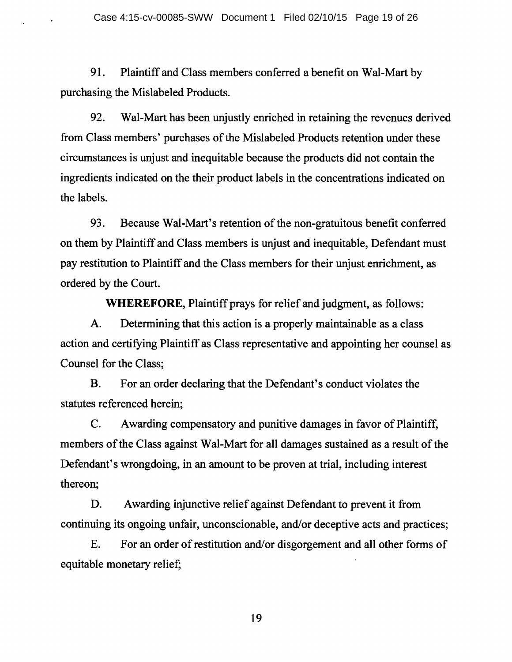91. Plaintiff and Class members conferred a benefit on Wal-Mart by purchasing the Mislabeled Products.

92. Wal-Mart has been unjustly enriched in retaining the revenues derived from Class members' purchases of the Mislabeled Products retention under these circumstances is unjust and inequitable because the products did not contain the ingredients indicated on the their product labels in the concentrations indicated on the labels.

93. Because Wal-Mart's retention of the non-gratuitous benefit conferred on them by Plaintiff and Class members is unjust and inequitable, Defendant must pay restitution to Plaintiff and the Class members for their unjust enrichment, as ordered by the Court.

**WHEREFORE,** Plaintiff prays for relief and judgment, as follows:

A. Determining that this action is a properly maintainable as a class action and certifying Plaintiff as Class representative and appointing her counsel as Counsel for the Class;

B. For an order declaring that the Defendant's conduct violates the statutes referenced herein;

C. Awarding compensatory and punitive damages in favor of Plaintiff, members of the Class against Wal-Mart for all damages sustained as a result of the Defendant's wrongdoing, in an amount to be proven at trial, including interest thereon;

D. Awarding injunctive relief against Defendant to prevent it from continuing its ongoing unfair, unconscionable, and/or deceptive acts and practices;

E. For an order of restitution and/or disgorgement and all other forms of equitable monetary relief;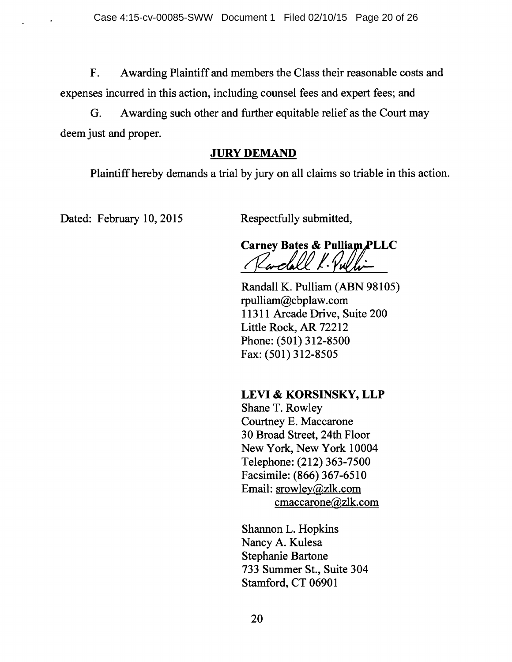F. A warding Plaintiff and members the Class their reasonable costs and expenses incurred in this action, including counsel fees and expert fees; and

G. A warding such other and further equitable relief as the Court may deem just and proper.

## **JURY DEMAND**

Plaintiff hereby demands a trial by jury on all claims so triable in this action.

Dated: February 10, 2015 Respectfully submitted,

**Carney Bates & Pulliam PLLC** 

Randall K. Pulliam (ABN 98105) rpulliam@cbplaw.com 11311 Arcade Drive, Suite 200 Little Rock, AR 72212 Phone: (501) 312-8500 Fax: (501) 312-8505

# **LEVI & KORSINSKY, LLP**

Shane T. Rowley Courtney E. Maccarone 30 Broad Street, 24th Floor New York, New York 10004 Telephone: (212) 363-7500 Facsimile: (866) 367-6510 Email: srowley@zlk.com cmaccarone@zlk.com

Shannon L. Hopkins Nancy A. Kulesa Stephanie Bartone 733 Summer St., Suite 304 Stamford, CT 06901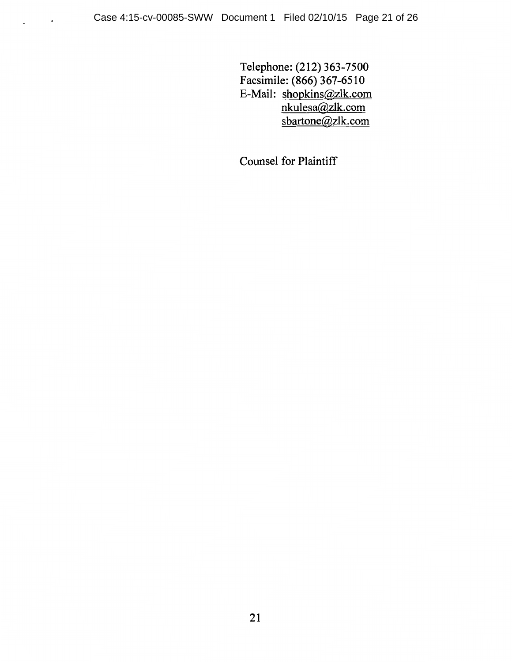$\Box$ 

Telephone: (212) 363-7500 Facsimile: (866) 367-6510 E-Mail: shopkins@zlk.com nkulesa@zlk.com sbartone@zlk.com

Counsel for Plaintiff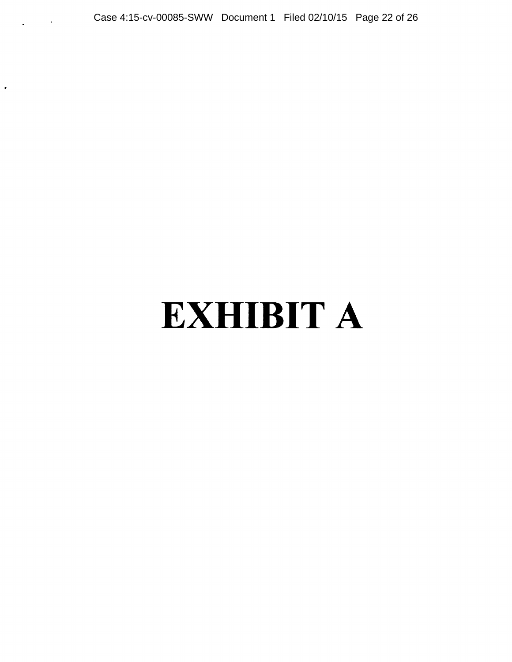Case 4:15-cv-00085-SWW Document 1 Filed 02/10/15 Page 22 of 26

 $\bullet$ 

# EXHIBIT A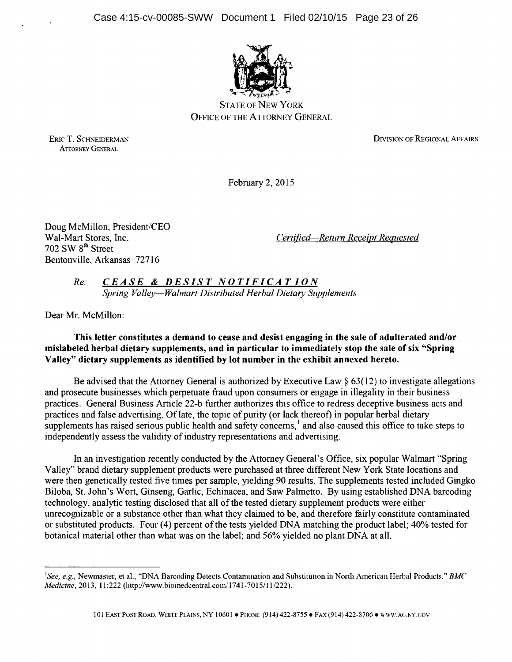Case 4:15-cv-00085-SWW Document 1 Filed 02/10/15 Page 23 of 26



**STATE OF NEW YORK** OFFICE OF THE ATTORNEY GENERAL

ERIC T. SCHNEIDERMAN ATTORNEY GENERAL

DIVISION OF REGIONAL AFFAIRS

February 2, 2015

Doug McMillon, President/CEO  $702$  SW  $8<sup>th</sup>$  Street Bentonville, Arkansas 72716

Wal-Mart Stores, Inc. *Certified-Return Receipt Requested* 

*Re: CE A SE* & *DES IS T N 0 TI FICA T I 0 N Spring Valley-Walmart Distributed Herbal Dietary Supplements* 

Dear Mr. McMillon:

#### This letter constitutes a demand to cease and desist engaging in the sale of adulterated and/or mislabeled herbal dietary supplements, and in particular to immediately stop the sale of six "Spring Valley" dietary supplements as identified by lot number in the exhibit annexed hereto.

Be advised that the Attorney General is authorized by Executive Law  $\S 63(12)$  to investigate allegations and prosecute businesses which perpetuate fraud upon consumers or engage in illegality in their business practices. General Business Article 22-b further authorizes this office to redress deceptive business acts and practices and false advertising. Of late, the topic of purity (or lack thereof) in popular herbal dietary supplements has raised serious public health and safety concerns,  $1$  and also caused this office to take steps to independently assess the validity of industry representations and advertising.

In an investigation recently conducted by the Attorney General's Office, six popular Walmart "Spring Valley" brand dietary supplement products were purchased at three different New York State locations and were then genetically tested five times per sample, yielding 90 results. The supplements tested included Gingko Biloba, St. John's Wort, Ginseng, Garlic, Echinacea, and Saw Palmetto. By using established DNA barcoding technology, analytic testing disclosed that all of the tested dietary supplement products were either unrecognizable or a substance other than what they claimed to be, and therefore fairly constitute contaminated or substituted products. Four (4) percent of the tests yielded DNA matching the product label; 40% tested for botanical material other than what was on the label; and 56% yielded no plant DNA at all.

<sup>1</sup> *See, e.g.,* Newmaster, et al., "DNA Barcoding Detects Contanunation and Substitution in North American Herbal Products," *BMC Medicine*, 2013, 11:222 (http://www.biomedcentral.com/1741-7015/11/222).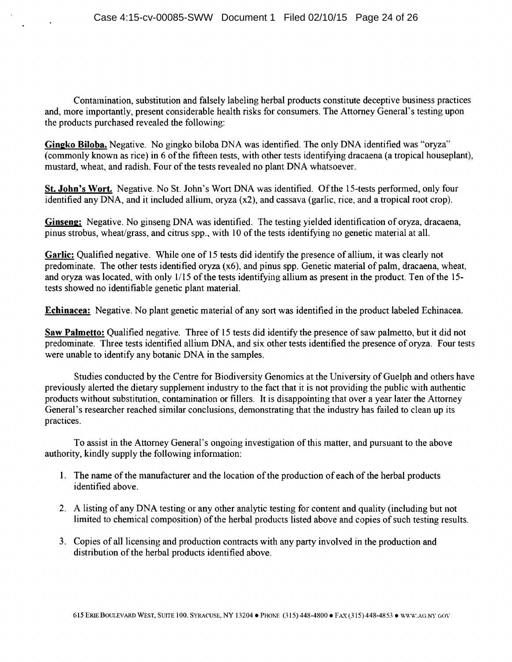Contamination, substitution and falsely labeling herbal products constitute deceptive business practices and, more importantly, present considerable health risks for consumers. The Attorney General's testing upon the products purchased revealed the following:

**Gingko Biloba.** Negative. No gingko biloba DNA was identified. The only DNA identified was "oryza" (commonly known as rice) in 6 of the fifteen tests, with other tests identifying dracaena (a tropical houseplant), mustard, wheat, and radish. Four of the tests revealed no plant DNA whatsoever.

St. **John's Wort.** Negative. No St. John's Wort DNA was identified. Of the 15-tests performed, only four identified any DNA, and it included allium, oryza (x2), and cassava (garlic, rice, and a tropical root crop).

**Ginseng:** Negative. No ginseng DNA was identified. The testing yielded identification of oryza, dracaena, pinus strobus, wheat/grass, and citrus spp., with 10 of the tests identifying no genetic material at all.

**Garlic:** Qualified negative. While one of 15 tests did identify the presence of allium, it was clearly not predominate. The other tests identified oryza (x6), and pinus spp. Genetic material of palm, dracaena, wheat, and oryza was located, with only l/15 of the tests identifying allium as present in the product. Ten of the 15 tests showed no identifiable genetic plant material.

**Echinacea:** Negative. No plant genetic material of any sort was identified in the product labeled Echinacea.

Saw Palmetto: Qualified negative. Three of 15 tests did identify the presence of saw palmetto, but it did not predominate. Three tests identified allium DNA, and six other tests identified the presence of oryza. Four tests were unable to identify any botanic DNA in the samples.

Studies conducted by the Centre for Biodiversity Genomics at the University of Guelph and others have previously alerted the dietary supplement industry to the fact that it is not providing the public with authentic products without substitution, contamination or fillers. It is disappointing that over a year later the Attorney General's researcher reached similar conclusions, demonstrating that the industry has failed to clean up its practices.

To assist in the Attorney General's ongoing investigation of this matter, and pursuant to the above authority, kindly supply the following information:

- 1. The name of the manufacturer and the location of the production of each of the herbal products identified above.
- 2. A listing of any DNA testing or any other analytic testing for content and quality (including but not limited to chemical composition) of the herbal products listed above and copies of such testing results.
- 3. Copies of all licensing and production contracts with any party involved in the production and distribution of the herbal products identified above.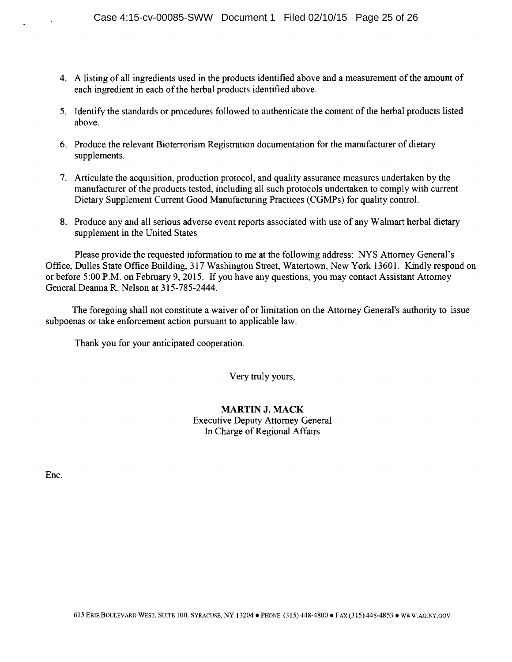- 4. A listing of all ingredients used in the products identified above and a measurement of the amount of each ingredient in each of the herbal products identified above.
- 5. Identify the standards or procedures followed to authenticate the content of the herbal products listed above.
- 6. Produce the relevant Bioterrorism Registration documentation for the manufacturer of dietary supplements.
- 7. Articulate the acquisition, production protocol, and quality assurance measures undertaken by the manufacturer of the products tested, including all such protocols undertaken to comply with current Dietary Supplement Current Good Manufacturing Practices (CGMPs) for quality control.
- 8. Produce any and all serious adverse event reports associated with use of any Walmart herbal dietary supplement in the United States

Please provide the requested information to me at the following address: NYS Attorney General's Office, Dulles State Office Building, 317 Washington Street, Watertown, New York 13601. Kindly respond on or before 5:00 P.M. on February 9, 2015. If you have any questions, you may contact Assistant Attorney General Deanna R. Nelson at 315-785-2444.

The foregoing shall not constitute a waiver of or limitation on the Attorney General's authority to issue subpoenas or take enforcement action pursuant to applicable law.

Thank you for your anticipated cooperation.

Very truly yours,

#### MARTIN J. MACK Executive Deputy Attorney General In Charge of Regional Affairs

Enc.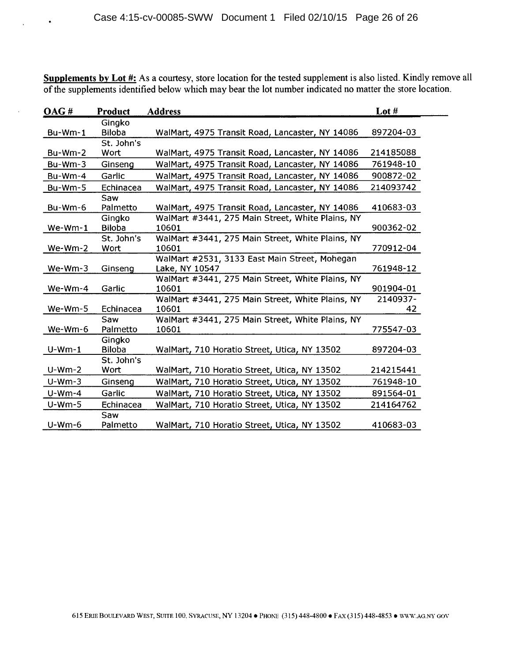Supplements by Lot #: As a courtesy, store location for the tested supplement is also listed. Kindly remove all of the supplements identified below which may bear the lot number indicated no matter the store location.

 $\cdot$ 

| OAG#      | <b>Product</b> | <b>Address</b>                                            | Lot $#$        |
|-----------|----------------|-----------------------------------------------------------|----------------|
|           | Gingko         |                                                           |                |
| Bu-Wm-1   | <b>Biloba</b>  | WalMart, 4975 Transit Road, Lancaster, NY 14086           | 897204-03      |
|           | St. John's     |                                                           |                |
| $Bu-Wm-2$ | Wort           | WalMart, 4975 Transit Road, Lancaster, NY 14086           | 214185088      |
| Bu-Wm-3   | Ginseng        | WalMart, 4975 Transit Road, Lancaster, NY 14086           | 761948-10      |
| $Bu-Wm-4$ | Garlic         | WalMart, 4975 Transit Road, Lancaster, NY 14086           | 900872-02      |
| Bu-Wm-5   | Echinacea      | WalMart, 4975 Transit Road, Lancaster, NY 14086           | 214093742      |
|           | Saw            |                                                           |                |
| Bu-Wm-6   | Palmetto       | WalMart, 4975 Transit Road, Lancaster, NY 14086           | 410683-03      |
|           | Gingko         | WalMart #3441, 275 Main Street, White Plains, NY          |                |
| $We-Wm-1$ | <b>Biloba</b>  | 10601                                                     | 900362-02      |
|           | St. John's     | WalMart #3441, 275 Main Street, White Plains, NY          |                |
| We-Wm-2   | Wort           | 10601                                                     | 770912-04      |
|           |                | WalMart #2531, 3133 East Main Street, Mohegan             |                |
| $We-Wm-3$ | Ginseng        | Lake, NY 10547                                            | 761948-12      |
|           |                | WalMart #3441, 275 Main Street, White Plains, NY          |                |
| We-Wm-4   | Garlic         | 10601                                                     | 901904-01      |
| We-Wm-5   | Echinacea      | WalMart #3441, 275 Main Street, White Plains, NY<br>10601 | 2140937-<br>42 |
|           | Saw            | WalMart #3441, 275 Main Street, White Plains, NY          |                |
| We-Wm-6   | Palmetto       | 10601                                                     | 775547-03      |
|           | Gingko         |                                                           |                |
| $U-Wm-1$  | <b>Biloba</b>  | WalMart, 710 Horatio Street, Utica, NY 13502              | 897204-03      |
|           | St. John's     |                                                           |                |
| $U-Wm-2$  | Wort           | WalMart, 710 Horatio Street, Utica, NY 13502              | 214215441      |
| $U-Wm-3$  | Ginseng        | WalMart, 710 Horatio Street, Utica, NY 13502              | 761948-10      |
| $U-Wm-4$  | Garlic         | WalMart, 710 Horatio Street, Utica, NY 13502              | 891564-01      |
| $U-Wm-5$  | Echinacea      | WalMart, 710 Horatio Street, Utica, NY 13502              | 214164762      |
|           | Saw            |                                                           |                |
| $U-Wm-6$  | Palmetto       | WalMart, 710 Horatio Street, Utica, NY 13502              | 410683-03      |